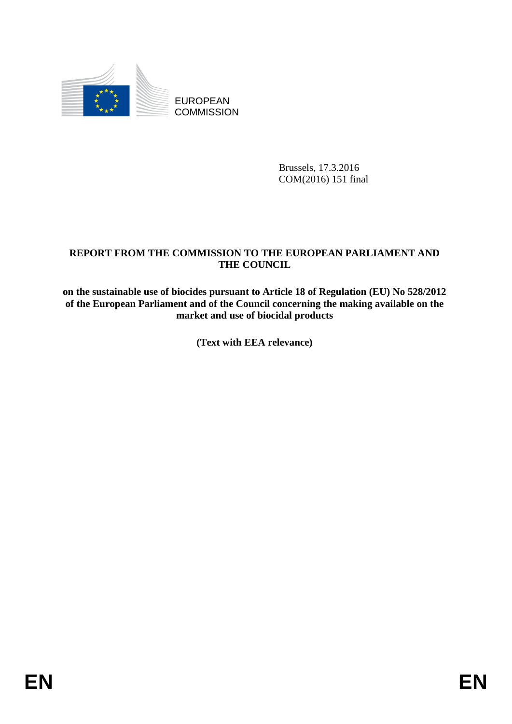

EUROPEAN **COMMISSION** 

> Brussels, 17.3.2016 COM(2016) 151 final

# **REPORT FROM THE COMMISSION TO THE EUROPEAN PARLIAMENT AND THE COUNCIL**

**on the sustainable use of biocides pursuant to Article 18 of Regulation (EU) No 528/2012 of the European Parliament and of the Council concerning the making available on the market and use of biocidal products**

**(Text with EEA relevance)**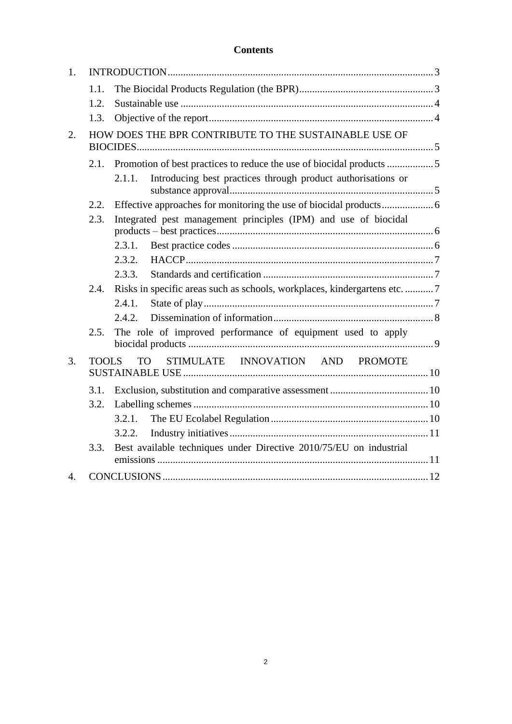# **Contents**

| 1. |              |                                                                           |
|----|--------------|---------------------------------------------------------------------------|
|    | 1.1.         |                                                                           |
|    | 1.2.         |                                                                           |
|    | 1.3.         |                                                                           |
| 2. |              | HOW DOES THE BPR CONTRIBUTE TO THE SUSTAINABLE USE OF                     |
|    |              | 2.1. Promotion of best practices to reduce the use of biocidal products 5 |
|    |              | Introducing best practices through product authorisations or<br>2.1.1.    |
|    | 2.2.         |                                                                           |
|    | 2.3.         | Integrated pest management principles (IPM) and use of biocidal           |
|    |              | 2.3.1.                                                                    |
|    |              | 2.3.2.                                                                    |
|    |              | 2.3.3.                                                                    |
|    | 2.4.         | Risks in specific areas such as schools, workplaces, kindergartens etc. 7 |
|    |              | 2.4.1.                                                                    |
|    |              | 2.4.2.                                                                    |
|    | 2.5.         | The role of improved performance of equipment used to apply               |
| 3. | <b>TOOLS</b> | <b>TO</b><br>STIMULATE INNOVATION AND PROMOTE                             |
|    | 3.1.         |                                                                           |
|    | 3.2.         |                                                                           |
|    |              | $3.2.1$ .                                                                 |
|    |              | 3.2.2.                                                                    |
|    | 3.3.         | Best available techniques under Directive 2010/75/EU on industrial        |
| 4. |              |                                                                           |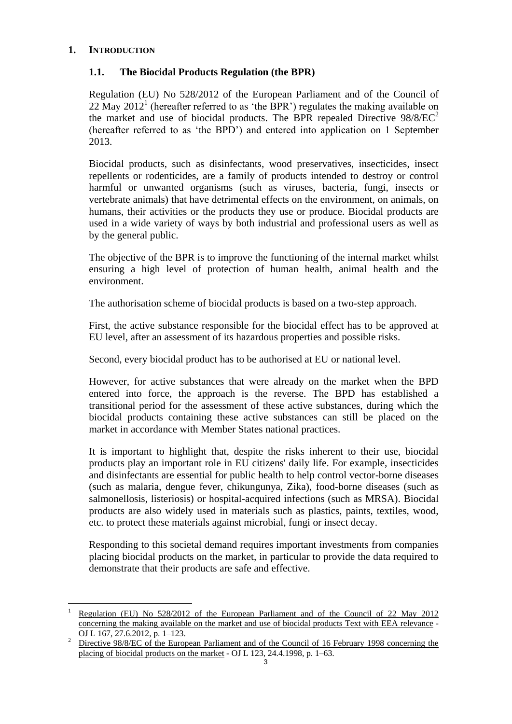# **1. INTRODUCTION**

 $\overline{a}$ 

## **1.1. The Biocidal Products Regulation (the BPR)**

Regulation (EU) No 528/2012 of the European Parliament and of the Council of 22 May 2012<sup>1</sup> (hereafter referred to as 'the BPR') regulates the making available on the market and use of biocidal products. The BPR repealed Directive  $98/8/EC^2$ (hereafter referred to as 'the BPD') and entered into application on 1 September 2013.

Biocidal products, such as disinfectants, wood preservatives, insecticides, insect repellents or rodenticides, are a family of products intended to destroy or control harmful or unwanted organisms (such as viruses, bacteria, fungi, insects or vertebrate animals) that have detrimental effects on the environment, on animals, on humans, their activities or the products they use or produce. Biocidal products are used in a wide variety of ways by both industrial and professional users as well as by the general public.

The objective of the BPR is to improve the functioning of the internal market whilst ensuring a high level of protection of human health, animal health and the environment.

The authorisation scheme of biocidal products is based on a two-step approach.

First, the active substance responsible for the biocidal effect has to be approved at EU level, after an assessment of its hazardous properties and possible risks.

Second, every biocidal product has to be authorised at EU or national level.

However, for active substances that were already on the market when the BPD entered into force, the approach is the reverse. The BPD has established a transitional period for the assessment of these active substances, during which the biocidal products containing these active substances can still be placed on the market in accordance with Member States national practices.

It is important to highlight that, despite the risks inherent to their use, biocidal products play an important role in EU citizens' daily life. For example, insecticides and disinfectants are essential for public health to help control vector-borne diseases (such as malaria, dengue fever, chikungunya, Zika), food-borne diseases (such as salmonellosis, listeriosis) or hospital-acquired infections (such as MRSA). Biocidal products are also widely used in materials such as plastics, paints, textiles, wood, etc. to protect these materials against microbial, fungi or insect decay.

Responding to this societal demand requires important investments from companies placing biocidal products on the market, in particular to provide the data required to demonstrate that their products are safe and effective.

Regulation (EU) No 528/2012 of the European Parliament and of the Council of 22 May 2012 concerning the making available on the market and use of biocidal products Text with EEA relevance - OJ L 167, 27.6.2012, p. 1–123.

<sup>&</sup>lt;sup>2</sup> Directive 98/8/EC of the European Parliament and of the Council of 16 February 1998 concerning the placing of biocidal products on the market - OJ L 123, 24.4.1998, p. 1–63.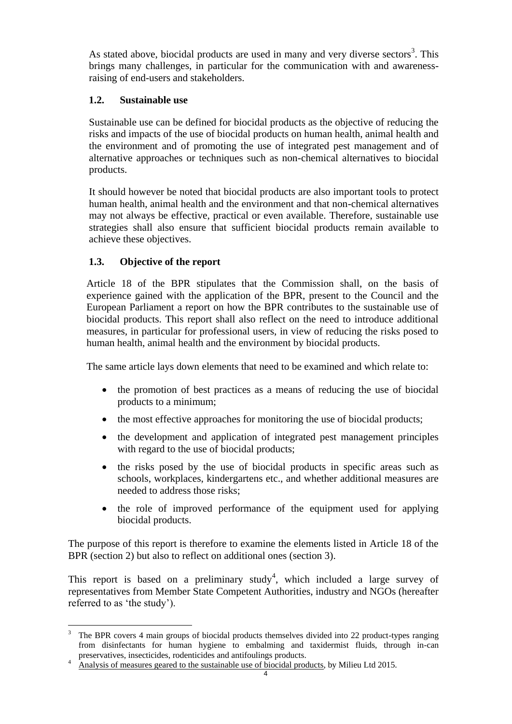As stated above, biocidal products are used in many and very diverse sectors<sup>3</sup>. This brings many challenges, in particular for the communication with and awarenessraising of end-users and stakeholders.

# **1.2. Sustainable use**

Sustainable use can be defined for biocidal products as the objective of reducing the risks and impacts of the use of biocidal products on human health, animal health and the environment and of promoting the use of integrated pest management and of alternative approaches or techniques such as non-chemical alternatives to biocidal products.

It should however be noted that biocidal products are also important tools to protect human health, animal health and the environment and that non-chemical alternatives may not always be effective, practical or even available. Therefore, sustainable use strategies shall also ensure that sufficient biocidal products remain available to achieve these objectives.

# **1.3. Objective of the report**

Article 18 of the BPR stipulates that the Commission shall, on the basis of experience gained with the application of the BPR, present to the Council and the European Parliament a report on how the BPR contributes to the sustainable use of biocidal products. This report shall also reflect on the need to introduce additional measures, in particular for professional users, in view of reducing the risks posed to human health, animal health and the environment by biocidal products.

The same article lays down elements that need to be examined and which relate to:

- the promotion of best practices as a means of reducing the use of biocidal products to a minimum;
- the most effective approaches for monitoring the use of biocidal products;
- the development and application of integrated pest management principles with regard to the use of biocidal products;
- the risks posed by the use of biocidal products in specific areas such as schools, workplaces, kindergartens etc., and whether additional measures are needed to address those risks;
- the role of improved performance of the equipment used for applying biocidal products.

The purpose of this report is therefore to examine the elements listed in Article 18 of the BPR (section 2) but also to reflect on additional ones (section 3).

This report is based on a preliminary study<sup>4</sup>, which included a large survey of representatives from Member State Competent Authorities, industry and NGOs (hereafter referred to as 'the study').

 $\overline{a}$ <sup>3</sup> The BPR covers 4 main groups of biocidal products themselves divided into 22 product-types ranging from disinfectants for human hygiene to embalming and taxidermist fluids, through in-can preservatives, insecticides, rodenticides and antifoulings products.

<sup>&</sup>lt;sup>4</sup> Analysis of measures geared to the sustainable use of biocidal products, by Milieu Ltd 2015.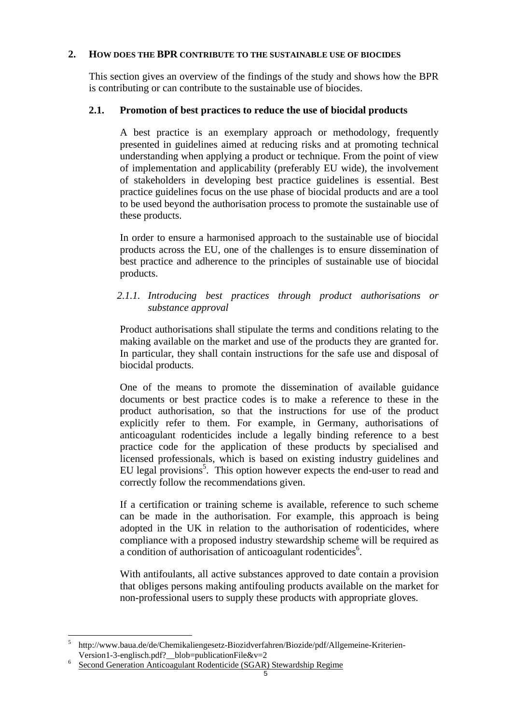## **2. HOW DOES THE BPR CONTRIBUTE TO THE SUSTAINABLE USE OF BIOCIDES**

This section gives an overview of the findings of the study and shows how the BPR is contributing or can contribute to the sustainable use of biocides.

# **2.1. Promotion of best practices to reduce the use of biocidal products**

A best practice is an exemplary approach or methodology, frequently presented in guidelines aimed at reducing risks and at promoting technical understanding when applying a product or technique. From the point of view of implementation and applicability (preferably EU wide), the involvement of stakeholders in developing best practice guidelines is essential. Best practice guidelines focus on the use phase of biocidal products and are a tool to be used beyond the authorisation process to promote the sustainable use of these products.

In order to ensure a harmonised approach to the sustainable use of biocidal products across the EU, one of the challenges is to ensure dissemination of best practice and adherence to the principles of sustainable use of biocidal products.

## *2.1.1. Introducing best practices through product authorisations or substance approval*

Product authorisations shall stipulate the terms and conditions relating to the making available on the market and use of the products they are granted for. In particular, they shall contain instructions for the safe use and disposal of biocidal products.

One of the means to promote the dissemination of available guidance documents or best practice codes is to make a reference to these in the product authorisation, so that the instructions for use of the product explicitly refer to them. For example, in Germany, authorisations of anticoagulant rodenticides include a legally binding reference to a best practice code for the application of these products by specialised and licensed professionals, which is based on existing industry guidelines and EU legal provisions<sup>5</sup>. This option however expects the end-user to read and correctly follow the recommendations given.

If a certification or training scheme is available, reference to such scheme can be made in the authorisation. For example, this approach is being adopted in the UK in relation to the authorisation of rodenticides, where compliance with a proposed industry stewardship scheme will be required as a condition of authorisation of anticoagulant rodenticides<sup>6</sup>.

With antifoulants, all active substances approved to date contain a provision that obliges persons making antifouling products available on the market for non-professional users to supply these products with appropriate gloves.

 $\overline{a}$ 5 http://www.baua.de/de/Chemikaliengesetz-Biozidverfahren/Biozide/pdf/Allgemeine-Kriterien-Version1-3-englisch.pdf?\_\_blob=publicationFile&v=2

<sup>6</sup> Second Generation Anticoagulant Rodenticide (SGAR) Stewardship Regime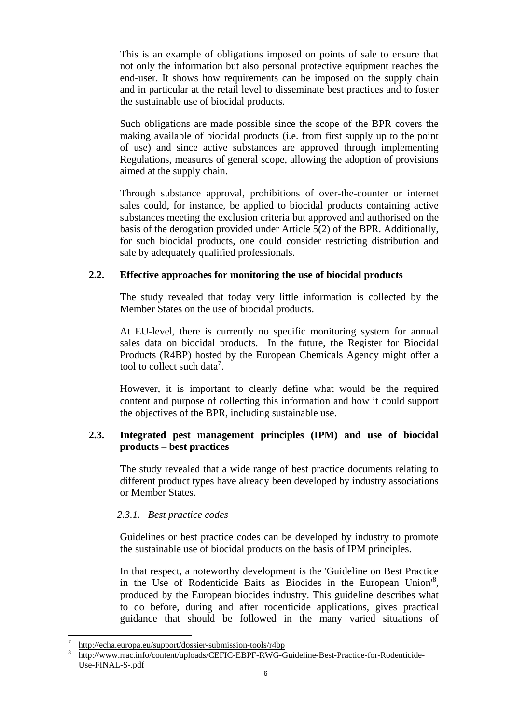This is an example of obligations imposed on points of sale to ensure that not only the information but also personal protective equipment reaches the end-user. It shows how requirements can be imposed on the supply chain and in particular at the retail level to disseminate best practices and to foster the sustainable use of biocidal products.

Such obligations are made possible since the scope of the BPR covers the making available of biocidal products (i.e. from first supply up to the point of use) and since active substances are approved through implementing Regulations, measures of general scope, allowing the adoption of provisions aimed at the supply chain.

Through substance approval, prohibitions of over-the-counter or internet sales could, for instance, be applied to biocidal products containing active substances meeting the exclusion criteria but approved and authorised on the basis of the derogation provided under Article 5(2) of the BPR. Additionally, for such biocidal products, one could consider restricting distribution and sale by adequately qualified professionals.

# **2.2. Effective approaches for monitoring the use of biocidal products**

The study revealed that today very little information is collected by the Member States on the use of biocidal products.

At EU-level, there is currently no specific monitoring system for annual sales data on biocidal products. In the future, the Register for Biocidal Products (R4BP) hosted by the European Chemicals Agency might offer a tool to collect such data<sup>7</sup>.

However, it is important to clearly define what would be the required content and purpose of collecting this information and how it could support the objectives of the BPR, including sustainable use.

## **2.3. Integrated pest management principles (IPM) and use of biocidal products – best practices**

The study revealed that a wide range of best practice documents relating to different product types have already been developed by industry associations or Member States.

# *2.3.1. Best practice codes*

Guidelines or best practice codes can be developed by industry to promote the sustainable use of biocidal products on the basis of IPM principles.

In that respect, a noteworthy development is the 'Guideline on Best Practice in the Use of Rodenticide Baits as Biocides in the European Union<sup>18</sup>, produced by the European biocides industry. This guideline describes what to do before, during and after rodenticide applications, gives practical guidance that should be followed in the many varied situations of

 $\overline{a}$ 

<sup>7</sup> http://echa.europa.eu/support/dossier-submission-tools/r4bp

<sup>8</sup> http://www.rrac.info/content/uploads/CEFIC-EBPF-RWG-Guideline-Best-Practice-for-Rodenticide-Use-FINAL-S-.pdf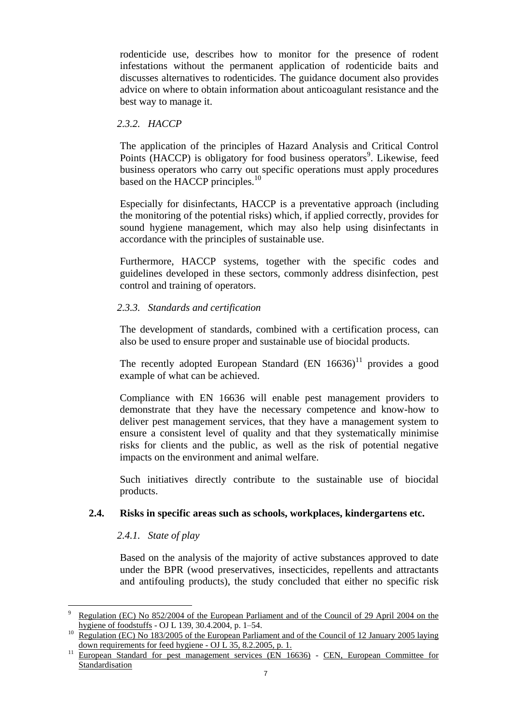rodenticide use, describes how to monitor for the presence of rodent infestations without the permanent application of rodenticide baits and discusses alternatives to rodenticides. The guidance document also provides advice on where to obtain information about anticoagulant resistance and the best way to manage it.

# *2.3.2. HACCP*

The application of the principles of Hazard Analysis and Critical Control Points (HACCP) is obligatory for food business operators<sup>9</sup>. Likewise, feed business operators who carry out specific operations must apply procedures based on the HACCP principles.<sup>10</sup>

Especially for disinfectants, HACCP is a preventative approach (including the monitoring of the potential risks) which, if applied correctly, provides for sound hygiene management, which may also help using disinfectants in accordance with the principles of sustainable use.

Furthermore, HACCP systems, together with the specific codes and guidelines developed in these sectors, commonly address disinfection, pest control and training of operators.

## *2.3.3. Standards and certification*

The development of standards, combined with a certification process, can also be used to ensure proper and sustainable use of biocidal products.

The recently adopted European Standard  $(EN 16636)^{11}$  provides a good example of what can be achieved.

Compliance with EN 16636 will enable pest management providers to demonstrate that they have the necessary competence and know-how to deliver pest management services, that they have a management system to ensure a consistent level of quality and that they systematically minimise risks for clients and the public, as well as the risk of potential negative impacts on the environment and animal welfare.

Such initiatives directly contribute to the sustainable use of biocidal products.

#### **2.4. Risks in specific areas such as schools, workplaces, kindergartens etc.**

#### *2.4.1. State of play*

 $\overline{a}$ 

Based on the analysis of the majority of active substances approved to date under the BPR (wood preservatives, insecticides, repellents and attractants and antifouling products), the study concluded that either no specific risk

<sup>9</sup> Regulation (EC) No 852/2004 of the European Parliament and of the Council of 29 April 2004 on the hygiene of foodstuffs - OJ L 139, 30.4.2004, p. 1–54.

<sup>&</sup>lt;sup>10</sup> Regulation (EC) No 183/2005 of the European Parliament and of the Council of 12 January 2005 laying down requirements for feed hygiene - OJ  $\hat{L}$  35, 8.2.2005, p. 1.

<sup>&</sup>lt;sup>11</sup> European Standard for pest management services (EN 16636) - CEN, European Committee for Standardisation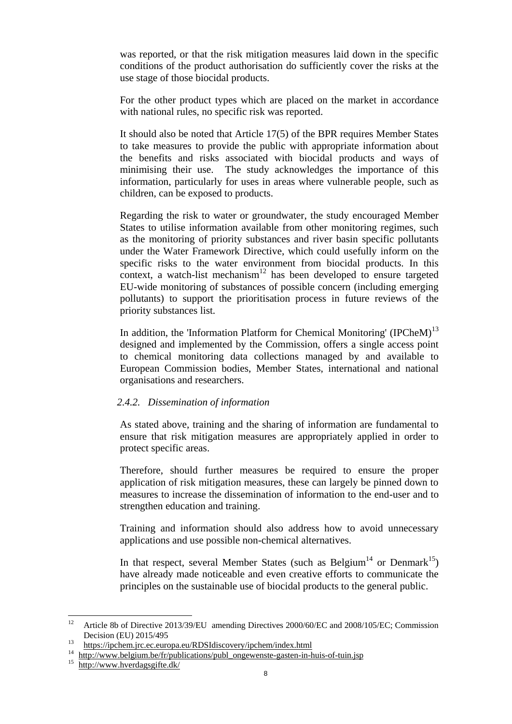was reported, or that the risk mitigation measures laid down in the specific conditions of the product authorisation do sufficiently cover the risks at the use stage of those biocidal products.

For the other product types which are placed on the market in accordance with national rules, no specific risk was reported.

It should also be noted that Article 17(5) of the BPR requires Member States to take measures to provide the public with appropriate information about the benefits and risks associated with biocidal products and ways of minimising their use. The study acknowledges the importance of this information, particularly for uses in areas where vulnerable people, such as children, can be exposed to products.

Regarding the risk to water or groundwater, the study encouraged Member States to utilise information available from other monitoring regimes, such as the monitoring of priority substances and river basin specific pollutants under the Water Framework Directive, which could usefully inform on the specific risks to the water environment from biocidal products. In this context, a watch-list mechanism $12$  has been developed to ensure targeted EU-wide monitoring of substances of possible concern (including emerging pollutants) to support the prioritisation process in future reviews of the priority substances list.

In addition, the 'Information Platform for Chemical Monitoring' (IPCheM)<sup>13</sup> designed and implemented by the Commission, offers a single access point to chemical monitoring data collections managed by and available to European Commission bodies, Member States, international and national organisations and researchers.

#### *2.4.2. Dissemination of information*

As stated above, training and the sharing of information are fundamental to ensure that risk mitigation measures are appropriately applied in order to protect specific areas.

Therefore, should further measures be required to ensure the proper application of risk mitigation measures, these can largely be pinned down to measures to increase the dissemination of information to the end-user and to strengthen education and training.

Training and information should also address how to avoid unnecessary applications and use possible non-chemical alternatives.

In that respect, several Member States (such as Belgium<sup>14</sup> or Denmark<sup>15</sup>) have already made noticeable and even creative efforts to communicate the principles on the sustainable use of biocidal products to the general public.

<sup>12</sup> <sup>12</sup> Article 8b of Directive 2013/39/EU amending Directives 2000/60/EC and 2008/105/EC; Commission Decision (EU) 2015/495

<sup>13</sup> https://ipchem.jrc.ec.europa.eu/RDSIdiscovery/ipchem/index.html<br>14 http://www.belgium.be/fr/publications/publ\_ongewenste\_gasten.in.html

<sup>&</sup>lt;sup>14</sup> http://www.belgium.be/fr/publications/publ\_ongewenste-gasten-in-huis-of-tuin.jsp<br><sup>15</sup> http://www.byerdagsgifte.dk/

http://www.hverdagsgifte.dk/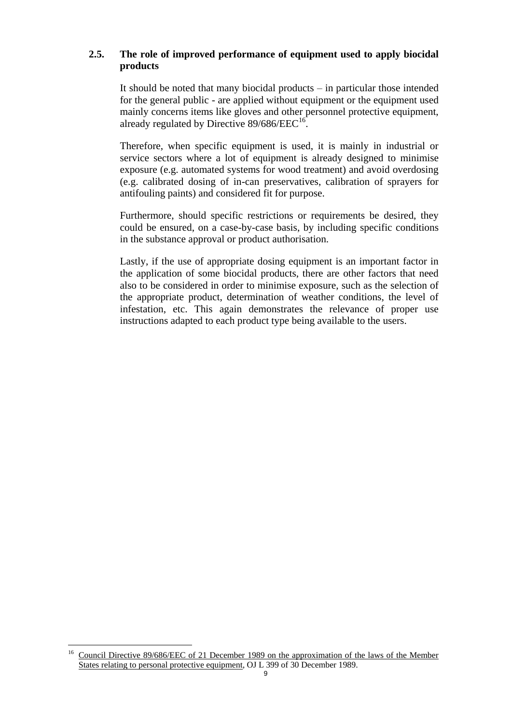# **2.5. The role of improved performance of equipment used to apply biocidal products**

It should be noted that many biocidal products – in particular those intended for the general public - are applied without equipment or the equipment used mainly concerns items like gloves and other personnel protective equipment, already regulated by Directive  $89/686/EEC^{16}$ .

Therefore, when specific equipment is used, it is mainly in industrial or service sectors where a lot of equipment is already designed to minimise exposure (e.g. automated systems for wood treatment) and avoid overdosing (e.g. calibrated dosing of in-can preservatives, calibration of sprayers for antifouling paints) and considered fit for purpose.

Furthermore, should specific restrictions or requirements be desired, they could be ensured, on a case-by-case basis, by including specific conditions in the substance approval or product authorisation.

Lastly, if the use of appropriate dosing equipment is an important factor in the application of some biocidal products, there are other factors that need also to be considered in order to minimise exposure, such as the selection of the appropriate product, determination of weather conditions, the level of infestation, etc. This again demonstrates the relevance of proper use instructions adapted to each product type being available to the users.

 $16$ Council Directive 89/686/EEC of 21 December 1989 on the approximation of the laws of the Member States relating to personal protective equipment, OJ L 399 of 30 December 1989.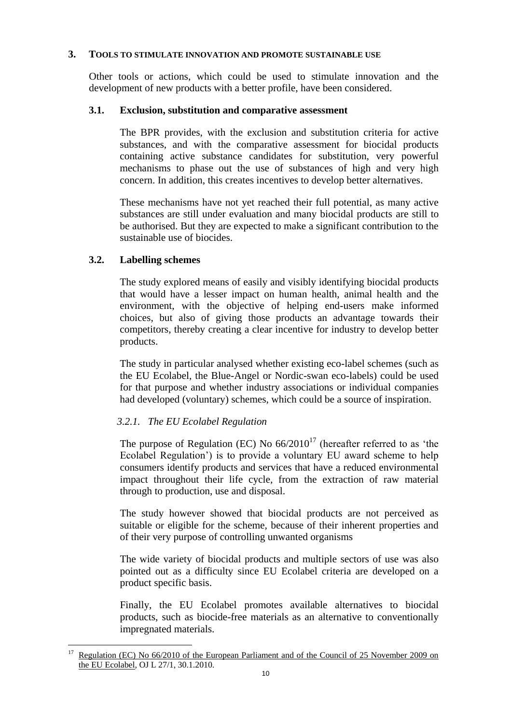#### **3. TOOLS TO STIMULATE INNOVATION AND PROMOTE SUSTAINABLE USE**

Other tools or actions, which could be used to stimulate innovation and the development of new products with a better profile, have been considered.

#### **3.1. Exclusion, substitution and comparative assessment**

The BPR provides, with the exclusion and substitution criteria for active substances, and with the comparative assessment for biocidal products containing active substance candidates for substitution, very powerful mechanisms to phase out the use of substances of high and very high concern. In addition, this creates incentives to develop better alternatives.

These mechanisms have not yet reached their full potential, as many active substances are still under evaluation and many biocidal products are still to be authorised. But they are expected to make a significant contribution to the sustainable use of biocides.

# **3.2. Labelling schemes**

 $\overline{a}$ 

The study explored means of easily and visibly identifying biocidal products that would have a lesser impact on human health, animal health and the environment, with the objective of helping end-users make informed choices, but also of giving those products an advantage towards their competitors, thereby creating a clear incentive for industry to develop better products.

The study in particular analysed whether existing eco-label schemes (such as the EU Ecolabel, the Blue-Angel or Nordic-swan eco-labels) could be used for that purpose and whether industry associations or individual companies had developed (voluntary) schemes, which could be a source of inspiration.

# *3.2.1. The EU Ecolabel Regulation*

The purpose of Regulation (EC) No  $66/2010^{17}$  (hereafter referred to as 'the Ecolabel Regulation') is to provide a voluntary EU award scheme to help consumers identify products and services that have a reduced environmental impact throughout their life cycle, from the extraction of raw material through to production, use and disposal.

The study however showed that biocidal products are not perceived as suitable or eligible for the scheme, because of their inherent properties and of their very purpose of controlling unwanted organisms

The wide variety of biocidal products and multiple sectors of use was also pointed out as a difficulty since EU Ecolabel criteria are developed on a product specific basis.

Finally, the EU Ecolabel promotes available alternatives to biocidal products, such as biocide-free materials as an alternative to conventionally impregnated materials.

Regulation (EC) No 66/2010 of the European Parliament and of the Council of 25 November 2009 on the EU Ecolabel, OJ L 27/1, 30.1.2010.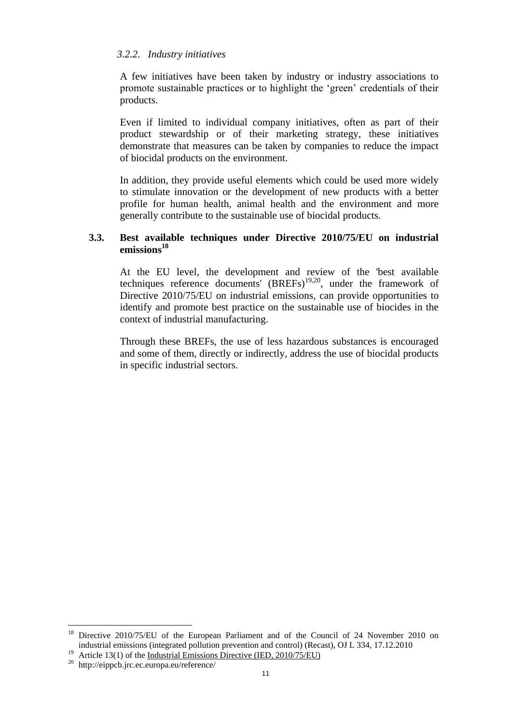## *3.2.2. Industry initiatives*

A few initiatives have been taken by industry or industry associations to promote sustainable practices or to highlight the 'green' credentials of their products.

Even if limited to individual company initiatives, often as part of their product stewardship or of their marketing strategy, these initiatives demonstrate that measures can be taken by companies to reduce the impact of biocidal products on the environment.

In addition, they provide useful elements which could be used more widely to stimulate innovation or the development of new products with a better profile for human health, animal health and the environment and more generally contribute to the sustainable use of biocidal products.

## **3.3. Best available techniques under Directive 2010/75/EU on industrial emissions<sup>18</sup>**

At the EU level, the development and review of the 'best available techniques reference documents' (BREFs)<sup>19,20</sup>, under the framework of Directive 2010/75/EU on industrial emissions, can provide opportunities to identify and promote best practice on the sustainable use of biocides in the context of industrial manufacturing.

Through these BREFs, the use of less hazardous substances is encouraged and some of them, directly or indirectly, address the use of biocidal products in specific industrial sectors.

<sup>19</sup> Article 13(1) of the <u>Industrial Emissions Directive (IED, 2010/75/EU)</u>

 $\overline{a}$ 

Directive 2010/75/EU of the European Parliament and of the Council of 24 November 2010 on industrial emissions (integrated pollution prevention and control) (Recast), OJ L 334, 17.12.2010

<sup>20</sup> http://eippcb.jrc.ec.europa.eu/reference/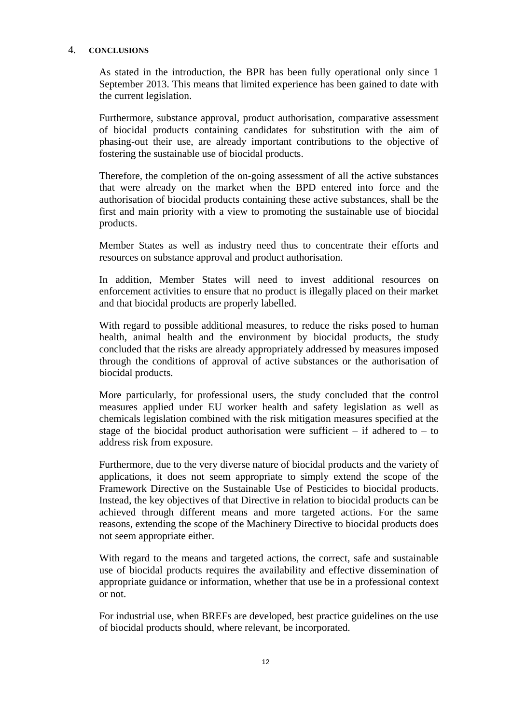#### 4. **CONCLUSIONS**

As stated in the introduction, the BPR has been fully operational only since 1 September 2013. This means that limited experience has been gained to date with the current legislation.

Furthermore, substance approval, product authorisation, comparative assessment of biocidal products containing candidates for substitution with the aim of phasing-out their use, are already important contributions to the objective of fostering the sustainable use of biocidal products.

Therefore, the completion of the on-going assessment of all the active substances that were already on the market when the BPD entered into force and the authorisation of biocidal products containing these active substances, shall be the first and main priority with a view to promoting the sustainable use of biocidal products.

Member States as well as industry need thus to concentrate their efforts and resources on substance approval and product authorisation.

In addition, Member States will need to invest additional resources on enforcement activities to ensure that no product is illegally placed on their market and that biocidal products are properly labelled.

With regard to possible additional measures, to reduce the risks posed to human health, animal health and the environment by biocidal products, the study concluded that the risks are already appropriately addressed by measures imposed through the conditions of approval of active substances or the authorisation of biocidal products.

More particularly, for professional users, the study concluded that the control measures applied under EU worker health and safety legislation as well as chemicals legislation combined with the risk mitigation measures specified at the stage of the biocidal product authorisation were sufficient – if adhered to – to address risk from exposure.

Furthermore, due to the very diverse nature of biocidal products and the variety of applications, it does not seem appropriate to simply extend the scope of the Framework Directive on the Sustainable Use of Pesticides to biocidal products. Instead, the key objectives of that Directive in relation to biocidal products can be achieved through different means and more targeted actions. For the same reasons, extending the scope of the Machinery Directive to biocidal products does not seem appropriate either.

With regard to the means and targeted actions, the correct, safe and sustainable use of biocidal products requires the availability and effective dissemination of appropriate guidance or information, whether that use be in a professional context or not.

For industrial use, when BREFs are developed, best practice guidelines on the use of biocidal products should, where relevant, be incorporated.